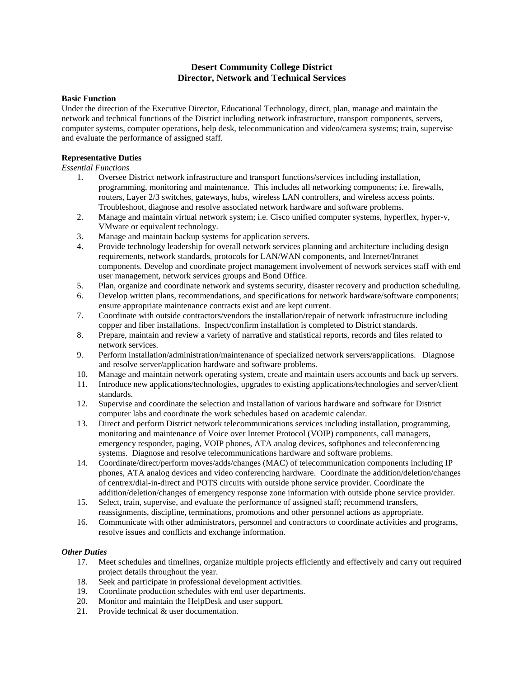# **Desert Community College District Director, Network and Technical Services**

#### **Basic Function**

Under the direction of the Executive Director, Educational Technology, direct, plan, manage and maintain the network and technical functions of the District including network infrastructure, transport components, servers, computer systems, computer operations, help desk, telecommunication and video/camera systems; train, supervise and evaluate the performance of assigned staff.

### **Representative Duties**

*Essential Functions*

- 1. Oversee District network infrastructure and transport functions/services including installation, programming, monitoring and maintenance. This includes all networking components; i.e. firewalls, routers, Layer 2/3 switches, gateways, hubs, wireless LAN controllers, and wireless access points. Troubleshoot, diagnose and resolve associated network hardware and software problems.
- 2. Manage and maintain virtual network system; i.e. Cisco unified computer systems, hyperflex, hyper-v, VMware or equivalent technology.
- 3. Manage and maintain backup systems for application servers.
- 4. Provide technology leadership for overall network services planning and architecture including design requirements, network standards, protocols for LAN/WAN components, and Internet/Intranet components. Develop and coordinate project management involvement of network services staff with end user management, network services groups and Bond Office.
- 5. Plan, organize and coordinate network and systems security, disaster recovery and production scheduling.
- 6. Develop written plans, recommendations, and specifications for network hardware/software components; ensure appropriate maintenance contracts exist and are kept current.
- 7. Coordinate with outside contractors/vendors the installation/repair of network infrastructure including copper and fiber installations. Inspect/confirm installation is completed to District standards.
- 8. Prepare, maintain and review a variety of narrative and statistical reports, records and files related to network services.
- 9. Perform installation/administration/maintenance of specialized network servers/applications. Diagnose and resolve server/application hardware and software problems.
- 10. Manage and maintain network operating system, create and maintain users accounts and back up servers.
- 11. Introduce new applications/technologies, upgrades to existing applications/technologies and server/client standards.
- 12. Supervise and coordinate the selection and installation of various hardware and software for District computer labs and coordinate the work schedules based on academic calendar.
- 13. Direct and perform District network telecommunications services including installation, programming, monitoring and maintenance of Voice over Internet Protocol (VOIP) components, call managers, emergency responder, paging, VOIP phones, ATA analog devices, softphones and teleconferencing systems. Diagnose and resolve telecommunications hardware and software problems.
- 14. Coordinate/direct/perform moves/adds/changes (MAC) of telecommunication components including IP phones, ATA analog devices and video conferencing hardware. Coordinate the addition/deletion/changes of centrex/dial-in-direct and POTS circuits with outside phone service provider. Coordinate the addition/deletion/changes of emergency response zone information with outside phone service provider.
- 15. Select, train, supervise, and evaluate the performance of assigned staff; recommend transfers, reassignments, discipline, terminations, promotions and other personnel actions as appropriate.
- 16. Communicate with other administrators, personnel and contractors to coordinate activities and programs, resolve issues and conflicts and exchange information.

# *Other Duties*

- 17. Meet schedules and timelines, organize multiple projects efficiently and effectively and carry out required project details throughout the year.
- 18. Seek and participate in professional development activities.
- 19. Coordinate production schedules with end user departments.
- 20. Monitor and maintain the HelpDesk and user support.
- 21. Provide technical  $\&$  user documentation.